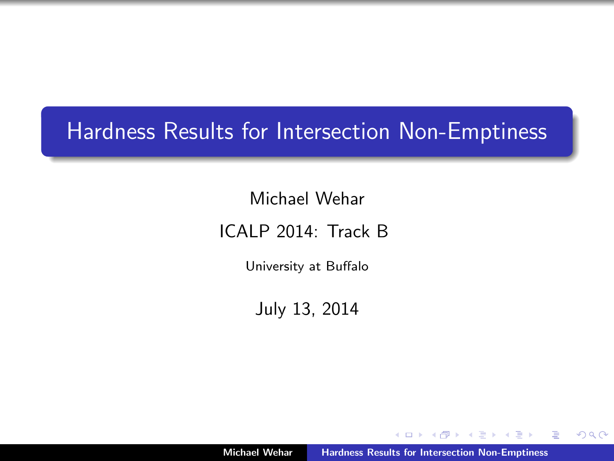# <span id="page-0-0"></span>Hardness Results for Intersection Non-Emptiness

Michael Wehar

ICALP 2014: Track B

University at Buffalo

July 13, 2014

 $\leftarrow$   $\Box$ 

 $\equiv$   $\rightarrow$ -4 E  $2Q$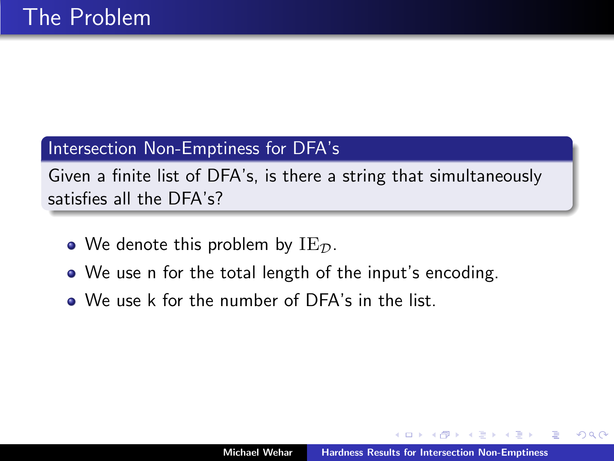## Intersection Non-Emptiness for DFA's

Given a finite list of DFA's, is there a string that simultaneously satisfies all the DFA's?

- We denote this problem by  $IE_{\mathcal{D}}$ .
- We use n for the total length of the input's encoding.
- We use k for the number of DFA's in the list.

つくい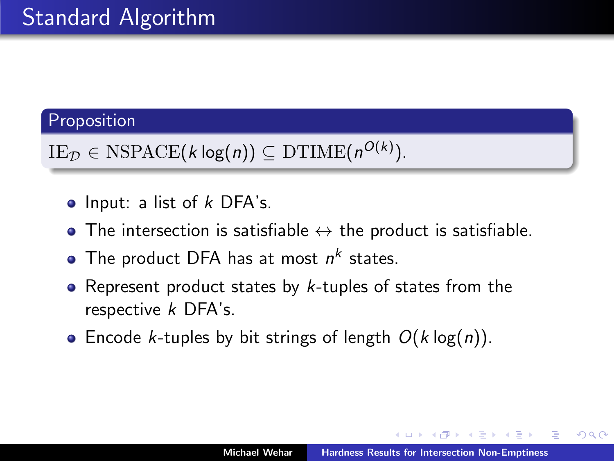## Proposition

 $\text{IE}_{\mathcal{D}} \in \text{NSPACE}(k \log(n)) \subseteq \text{DTIME}(n^{O(k)}).$ 

- $\bullet$  Input: a list of  $k$  DFA's.
- The intersection is satisfiable  $\leftrightarrow$  the product is satisfiable.
- The product DFA has at most  $n^k$  states.
- Represent product states by  $k$ -tuples of states from the respective k DFA's.
- Encode *k*-tuples by bit strings of length  $O(k \log(n))$ .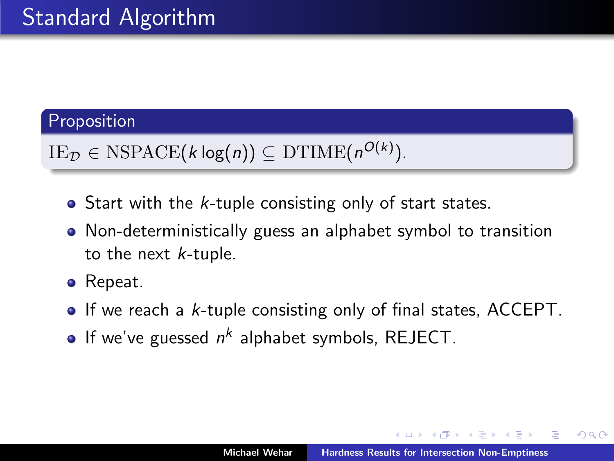## Proposition

 $\text{IE}_{\mathcal{D}} \in \text{NSPACE}(k \log(n)) \subseteq \text{DTIME}(n^{O(k)}).$ 

- $\bullet$  Start with the *k*-tuple consisting only of start states.
- Non-deterministically guess an alphabet symbol to transition to the next k-tuple.
- Repeat.
- $\bullet$  If we reach a *k*-tuple consisting only of final states, ACCEPT.
- If we've guessed  $n^k$  alphabet symbols, REJECT.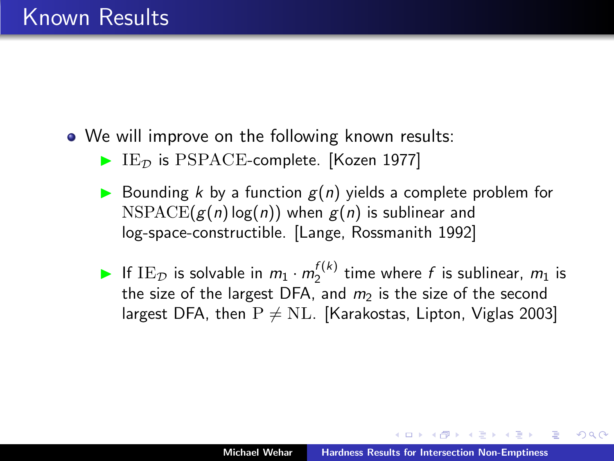- We will improve on the following known results:
	- $\blacktriangleright$  IE<sub>D</sub> is PSPACE-complete. [Kozen 1977]
	- $\triangleright$  Bounding k by a function  $g(n)$  yields a complete problem for  $NSPACE(g(n) \log(n))$  when  $g(n)$  is sublinear and log-space-constructible. [Lange, Rossmanith 1992]
	- If IE<sub>D</sub> is solvable in  $m_1 \cdot m_2^{f(k)}$  time where f is sublinear,  $m_1$  is the size of the largest DFA, and  $m<sub>2</sub>$  is the size of the second largest DFA, then  $P \neq NL$ . [Karakostas, Lipton, Viglas 2003]

桐 トラ ミュ エト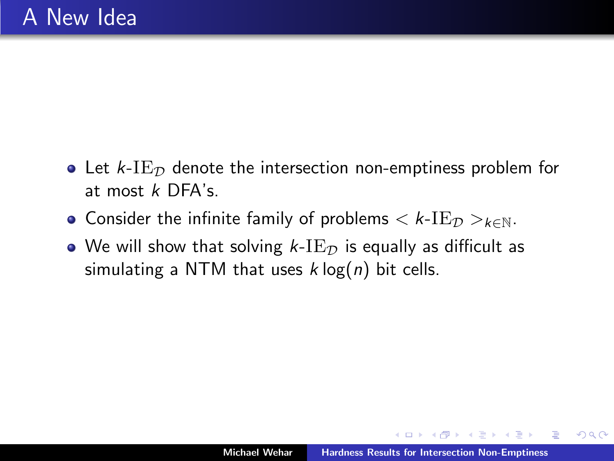- Let  $k$ -I $E_{\mathcal{D}}$  denote the intersection non-emptiness problem for at most k DFA's.
- Consider the infinite family of problems  $\lt k$ -IE $\tau$   $\gt$ <sub>k $\in$ N</sub>.
- $\bullet$  We will show that solving k-I $\mathrm{E}_\mathcal{D}$  is equally as difficult as simulating a NTM that uses  $k \log(n)$  bit cells.

 $4.50 \times 4.75 \times 4.75 \times$ 

 $2Q$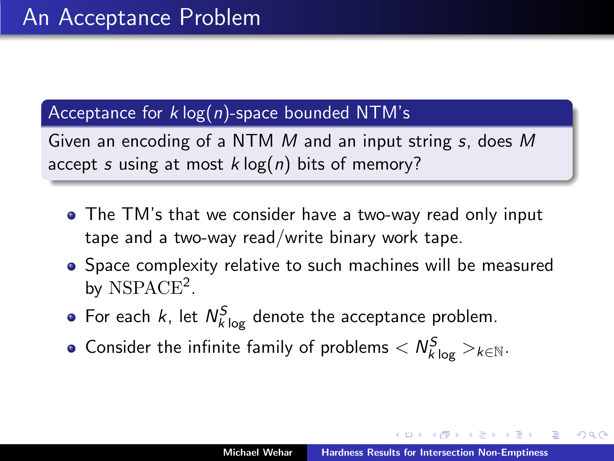## Acceptance for  $k \log(n)$ -space bounded NTM's

Given an encoding of a NTM M and an input string s, does M accept s using at most  $k \log(n)$  bits of memory?

- The TM's that we consider have a two-way read only input tape and a two-way read/write binary work tape.
- Space complexity relative to such machines will be measured by NSPACE<sup>2</sup>.
- For each k, let  $N_{k\log}^{S}$  denote the acceptance problem.
- Consider the infinite family of problems  $< N_{k\log}^{S}>_{k\in\mathbb{N}}.$

∽≏ດ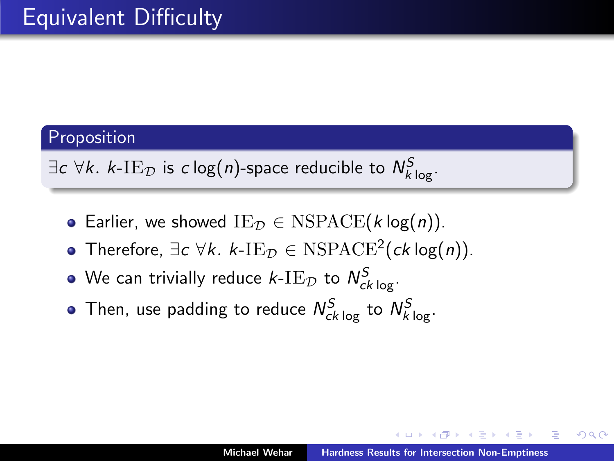### Proposition

 $\exists c\;\forall k. \;k\text{-}\mathrm{IE}_\mathcal{D}$  is  $c\log(n)$ -space reducible to  $\mathcal{N}_{k\log}^S.$ 

- Earlier, we showed  $IE_{\mathcal{D}} \in NSPACE(k \log(n)).$
- Therefore,  $\exists c \forall k. k\text{-IE}_\mathcal{D} \in \text{NSPACE}^2(ck \log(n)).$
- We can trivially reduce  $\mathit{k}\text{-}\mathrm{IE}_\mathcal{D}$  to  $\mathcal{N}_{ck\log}^\mathcal{S}.$
- Then, use padding to reduce  $N_{ck\,log}^S$  to  $N_{k\,log}^S$ .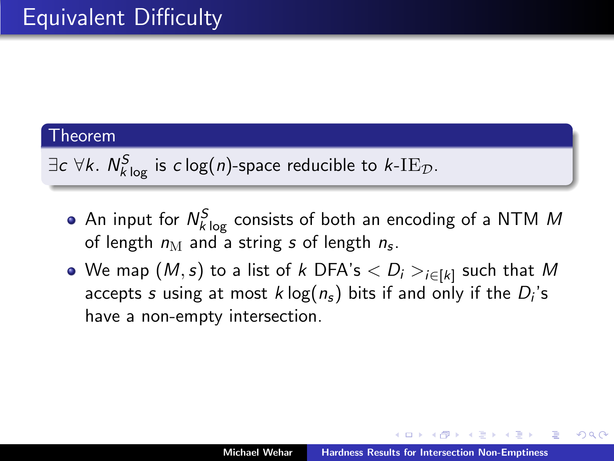$\exists c\;\forall k. \; N_{k\log}^S$  is  $c\log(n)$ -space reducible to  $k\text{-}\mathrm{IE}_\mathcal{D}.$ 

- An input for  $N_{k\, \rm log}^S$  consists of both an encoding of a NTM  $M$ of length  $n_{\rm M}$  and a string  $s$  of length  $n_{\rm s}$ .
- We map  $(\mathit{M},s)$  to a list of  $k$  DFA's  $<$   $D_i>_{i\in[k]}$  such that  $\mathit{M}$ accepts  $s$  using at most  $k\log(n_\text{s})$  bits if and only if the  $D_i$ 's have a non-empty intersection.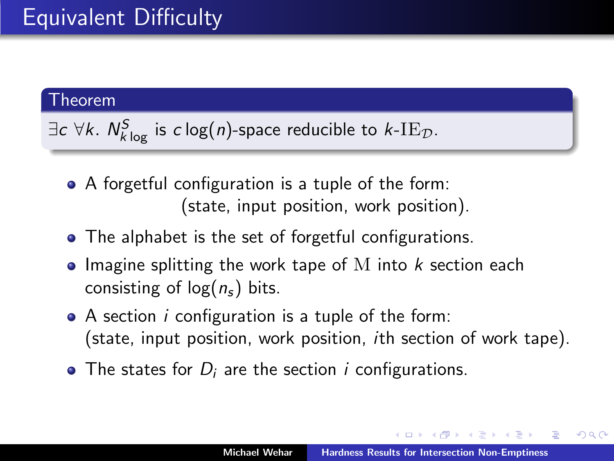$\exists c\;\forall k. \; N_{k\log}^S$  is  $c\log(n)$ -space reducible to  $k\text{-}\mathrm{IE}_\mathcal{D}.$ 

- A forgetful configuration is a tuple of the form: (state, input position, work position).
- The alphabet is the set of forgetful configurations.
- $\bullet$  Imagine splitting the work tape of M into k section each consisting of  $log(n_s)$  bits.
- $\bullet$  A section *i* configuration is a tuple of the form: (state, input position, work position, ith section of work tape).
- $\bullet$  The states for  $D_i$  are the section *i* configurations.

マーティ ミュマミン

つくい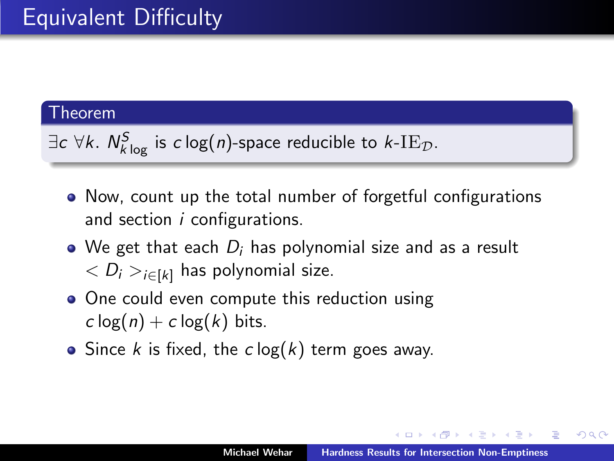$\exists c\;\forall k. \; N_{k\log}^S$  is  $c\log(n)$ -space reducible to  $k\text{-}\mathrm{IE}_\mathcal{D}.$ 

- Now, count up the total number of forgetful configurations and section  $i$  configurations.
- We get that each  $D_i$  has polynomial size and as a result  $\langle D_i \rangle_{i \in [k]}$  has polynomial size.
- One could even compute this reduction using  $c \log(n) + c \log(k)$  bits.
- Since k is fixed, the  $c \log(k)$  term goes away.

A + + = + + =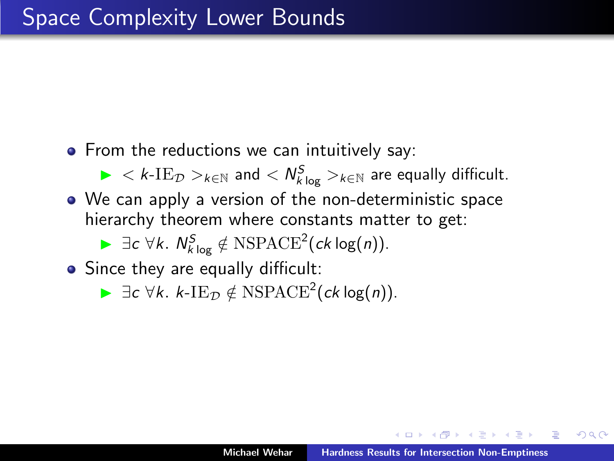• From the reductions we can intuitively say:

 $\blacktriangleright$   $<$   $k$ -IE $_{\mathcal{D}}$   $>$ <sub> $k \in \mathbb{N}$ </sub> and  $<$   $N_{k\log}^S$   $>$  $_{k \in \mathbb{N}}$  are equally difficult.

We can apply a version of the non-deterministic space hierarchy theorem where constants matter to get:

►  $\exists c \forall k. N_{k \log}^{S} \notin \text{NSPACE}^{2}(ck \log(n)).$ 

• Since they are equally difficult:

**►**  $\exists c \forall k. k$ -I $E_{\mathcal{D}} \notin NSPACE^2(ck \log(n)).$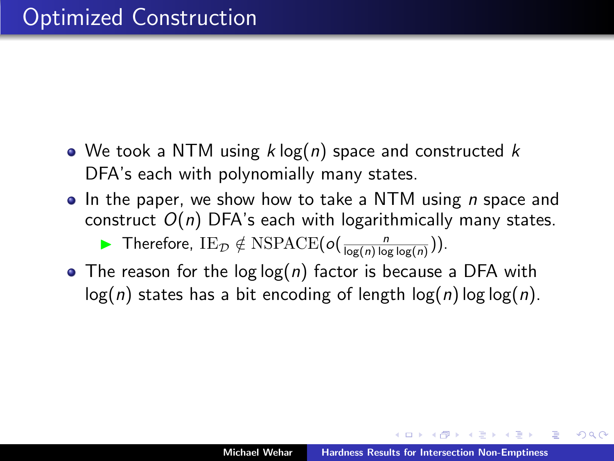- We took a NTM using  $k \log(n)$  space and constructed  $k$ DFA's each with polynomially many states.
- $\bullet$  In the paper, we show how to take a NTM using *n* space and construct  $O(n)$  DFA's each with logarithmically many states.

▶ Therefore,  $IE_D \notin NSPACE(o(\frac{n}{log(n)log log(n)})).$ 

• The reason for the log log(n) factor is because a DFA with  $log(n)$  states has a bit encoding of length  $log(n)$  log  $log(n)$ .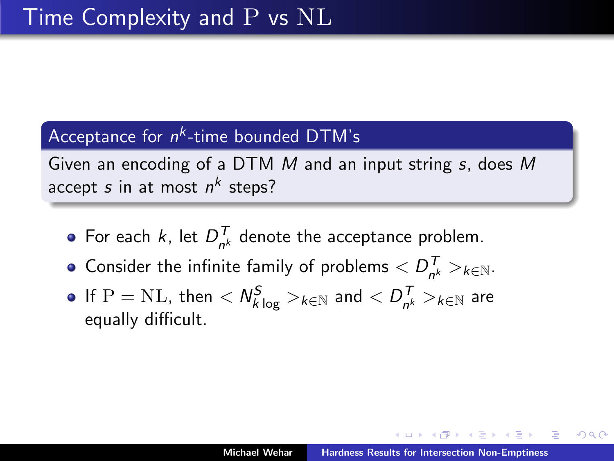## Acceptance for  $n^k$ -time bounded DTM's

Given an encoding of a DTM M and an input string s, does M accept  $s$  in at most  $n^k$  steps?

- For each k, let  $D_{n}^{T}$  $n_h^l$  denote the acceptance problem.
- Consider the infinite family of problems  $\langle D_{\mu\nu}^{T} \rangle$  $\big|_{n^k}^1 >_{k \in \mathbb{N}}$ .
- If  $\mathrm{P}=\mathrm{NL}$ , then  $<\mathit{N}_{k\log}^{\mathcal{S}}>_{k\in\mathbb{N}}$  and  $<\mathit{D}_{n^{k}}^{\mathcal{T}}$  $\frac{1}{n^k} >_{k \in \mathbb{N}}$  are equally difficult.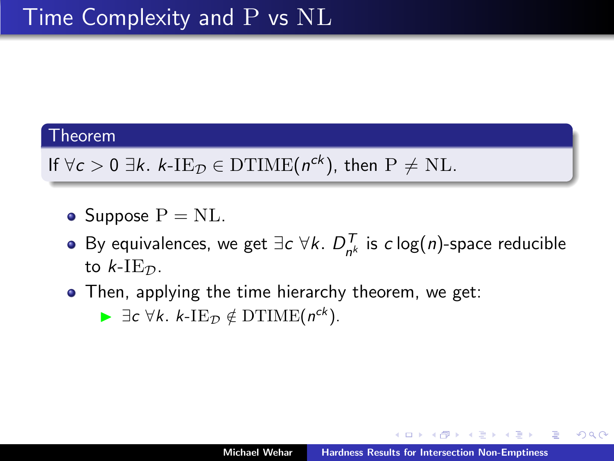If  $\forall c > 0 \exists k. \ k\text{-IE}_\mathcal{D} \in \mathrm{DTIME}(n^{ck})$ , then  $\mathrm{P} \neq \mathrm{NL}$ .

- Suppose  $P = NL$ .
- By equivalences, we get  $\exists c \,\forall k. \, D_{n}^T$  $\frac{1}{n^k}$  is  $c \log(n)$ -space reducible to  $k$ -IE $\tau$ .
- Then, applying the time hierarchy theorem, we get:

►  $\exists c \forall k. k$ -I $E_{\mathcal{D}} \notin \mathrm{DTIME}(n^{ck})$ .

つくい